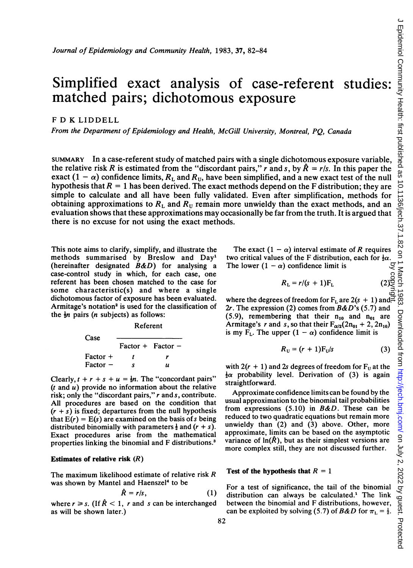# Simplified exact analysis of case-referent studies: matched pairs; dichotomous exposure

F D K LIDDELL

From the Department of Epidemiology and Health, McGill University, Montreal, PQ, Canada

SUMMARY In a case-referent study of matched pairs with a single dichotomous exposure variable, the relative risk R is estimated from the "discordant pairs," r and s, by  $\hat{R} = r/s$ . In this paper the exact  $(1 - \alpha)$  confidence limits,  $R_L$  and  $R_U$ , have been simplified, and a new exact test of the null hypothesis that  $R = 1$  has been derived. The exact methods depend on the F distribution; they are simple to calculate and all have been fully validated. Even after simplification, methods for obtaining approximations to  $R_{\text{L}}$  and  $R_{\text{U}}$  remain more unwieldy than the exact methods, and an evaluation shows that these approximations may occasionally be far from the truth. It is argued that there is no excuse for not using the exact methods.

This note aims to clarify, simplify, and illustrate the methods summarised by Breslow and Day' (hereinafter designated  $B\&D$ ) for analysing a case-control study in which, for each case, one referent has been chosen matched to the case for some characteristic(s) and where a single dichotomous factor of exposure has been evaluated. Armitage's notation<sup>2</sup> is used for the classification of the  $\frac{1}{2}n$  pairs (*n* subjects) as follows:

Referent

Case  
\nFactor + Factor –  
\nFactor –  
\nFactor –  
\n
$$
t
$$
  $r$   
\nFactor –  
\n $s$   $u$ 

Clearly,  $t + r + s + u = \frac{1}{2}n$ . The "concordant pairs"  $(t$  and  $u)$  provide no information about the relative risk; only the "discordant pairs," r ands, contribute. All procedures are based on the condition that  $(r + s)$  is fixed; departures from the null hypothesis that  $E(r) = E(s)$  are examined on the basis of s being distributed binomially with parameters  $\frac{1}{2}$  and  $(r + s)$ . Exact procedures arise from the mathematical properties linking the binomial and F distributions.3

## Estimates of relative risk  $(R)$

The maximum likelihood estimate of relative risk R was shown by Mantel and Haenszel<sup>4</sup> to be

$$
\hat{R}=r/s, \qquad (1)
$$

where  $r \geq s$ . (If  $\hat{R} < 1$ , r and s can be interchanged as will be shown later.)

The exact  $(1 - \alpha)$  interval estimate of R requires two critical values of the F distribution, each for  $\frac{1}{2}\alpha$ . The lower  $(1 - \alpha)$  confidence limit is x) confidence limit is<br>  $R_{\rm L} = r/(s + 1)F_{\rm L}$  (2) (2)

$$
R_{\rm L} = r/(s+1)F_{\rm L}
$$

where the degrees of freedom for  $F<sub>L</sub>$  are  $2(s + 1)$  and  $\equiv$ 2r. The expression (2) comes from  $B\&D$ 's (5.7) and (5.9), remembering that their  $n_{10}$  and  $n_{01}$  are Armitage's r and s, so that their  $F_{\alpha/2}(2n_{01} + 2, 2n_{10})$ is my F<sub>L</sub>. The upper  $(1 - \alpha)$  confidence limit is by copyright.

$$
R_{\rm U}=(r+1)\mathrm{F}_{\rm U}/s\tag{3}
$$

with  $2(r + 1)$  and 2s degrees of freedom for  $F_{\text{U}}$  at the  $\frac{1}{2}\alpha$  probability level. Derivation of (3) is again straightforward.

Approximate confidence limits can be found by the usual approximation to the binomial tail probabilities from expressions  $(5.10)$  in  $B\&D$ . These can be reduced to two quadratic equations but remain more unwieldy than  $(2)$  and  $(3)$  above. Other, more approximate, limits can be based on the asymptotic variance of  $\ln(\hat{R})$ , but as their simplest versions are more complex still, they are not discussed further.

#### Test of the hypothesis that  $R = 1$

For a test of significance, the tail of the binomial distribution can always be calculated.<sup>1</sup> The link between the binomial and F distributions, however, can be exploited by solving (5.7) of  $B\&D$  for  $\pi_{\text{L}} = \frac{1}{2}$ .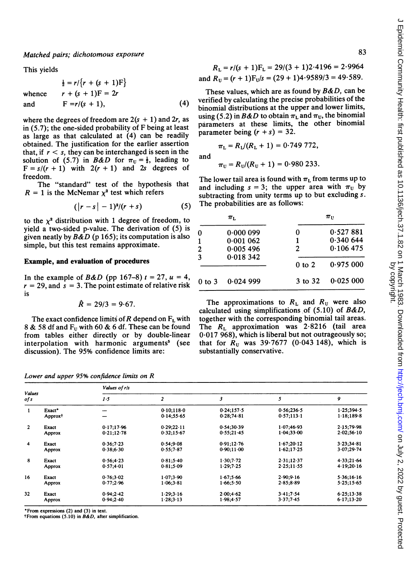This yields

$$
\frac{1}{2} = r/\{r + (s + 1)\}F
$$
\nwhence\n
$$
r + (s + 1)F = 2r
$$
\nand\n
$$
F = r/(s + 1),
$$
\n(4)

where the degrees of freedom are  $2(s + 1)$  and  $2r$ , as in (5.7); the one-sided probability of F being at least as large as that calculated at (4) can be readily obtained. The justification for the earlier assertion that, if  $r < s$ , they can be interchanged is seen in the solution of (5.7) in B&D for  $\pi_{\text{U}} = \frac{1}{2}$ , leading to  $F = s/(r + 1)$  with  $2(r + 1)$  and 2s degrees of freedom.

The "standard" test of the hypothesis that  $R = 1$  is the McNemar  $\chi^2$  test which refers

$$
(|r-s|-1)^2/(r+s)
$$
 (5)

to the  $x^2$  distribution with 1 degree of freedom, to yield a two-sided p-value. The derivation of (5) is given neatly by  $B\&D$  (p 165); its computation is also simple, but this test remains approximate.

### Example, and evaluation of procedures

In the example of  $B\&D$  (pp 167-8)  $t = 27$ ,  $u = 4$ ,  $r = 29$ , and  $s = 3$ . The point estimate of relative risk is

$$
\hat{R} = 29/3 = 9.67.
$$

The exact confidence limits of  $R$  depend on  $F<sub>L</sub>$  with 8 & 58 df and  $F_U$  with 60 & 6 df. These can be found from tables either directly or by double-linear interpolation with harmonic arguments<sup>5</sup> (see discussion). The 95% confidence limits are:

|  | $R_{\rm L} = r/(s + 1)F_{\rm L} = 29/(3 + 1)2.4196 = 2.9964$ |  |
|--|--------------------------------------------------------------|--|
|  | and $R_U = (r + 1)F_U/s = (29 + 1)4.9589/3 = 49.589.$        |  |

These values, which are as found by  $B\&D$ , can be verified by calculating the precise probabilities of the binomial distributions at the upper and lower limits, using (5.2) in B&D to obtain  $\pi_{\text{L}}$  and  $\pi_{\text{U}}$ , the binomial parameters at these limits, the other binomial parameter being  $(r + s) = 32$ .

$$
\pi_{\rm L}=R_{\rm L}/(R_{\rm L}+1)=0.749\,772,
$$

and

$$
\pi_{\rm U} = R_{\rm U}/(R_{\rm U}+1) = 0.980\,233.
$$

The lower tail area is found with  $\pi_L$  from terms up to and including  $s = 3$ ; the upper area with  $\pi_{U}$  by subtracting from unity terms up to but excluding s. The probabilities are as follows:

| $\pi_{\text{L}}$ |          | $\pi_{\scriptscriptstyle{\rm II}}$ |          |  |
|------------------|----------|------------------------------------|----------|--|
| $\bf{0}$         | 0.000099 | 0                                  | 0.527881 |  |
|                  | 0.001062 |                                    | 0.340644 |  |
| $\mathbf{2}$     | 0.005496 | 2                                  | 0.106475 |  |
| 3                | 0.018342 | $0$ to $2$                         | 0.975000 |  |
| $0$ to $3$       | 0.024999 | $3$ to $32$                        | 0.025000 |  |

The approximations to  $R_L$  and  $R_U$  were also calculated using simplifications of  $(5.10)$  of  $B\&D$ , together with the corresponding binomial tail areas. The  $R_L$  approximation was 2.8216 (tail area  $0.017$  968), which is liberal but not outrageously so; that for  $R_U$  was 39.7677 (0.043 148), which is substantially conservative.

Lower and upper 95% confidence limits on R

| <b>Values</b><br>of s |                     | Values of r/s |            |            |            |            |  |  |
|-----------------------|---------------------|---------------|------------|------------|------------|------------|--|--|
|                       |                     | 1.5           | 2          | 3          | 5          | 9          |  |  |
|                       | Exact*              |               | 0.10:118.0 | 0.24:157.5 | 0.56:236.5 | 1.25:394.5 |  |  |
|                       | Approx <sup>†</sup> |               | 0.14:55.65 | 0.28;74.81 | 0.57;113.1 | 1.18:189.8 |  |  |
| $\mathbf{2}$          | Exact               | 0.17:17.96    | 0.29;22.11 | 0.54;30.39 | 1.07:46.93 | 2.15:79.98 |  |  |
|                       | Approx              | 0.21:12.78    | 0.32:15.67 | 0.55:21.45 | 1.04:33.00 | 2.02:56.10 |  |  |
| 4                     | Exact               | 0.36;7.23     | 0.54;9.08  | 0.91:12.76 | 1.67:20.12 | 3.23:34.81 |  |  |
|                       | Approx              | 0.38:6.30     | 0.55;7.87  | 0.90:11.00 | 1.62:17.25 | 3.07:29.74 |  |  |
| 8                     | Exact               | 0.56.4.23     | 0.81:5.40  | 1.30:7.72  | 2.31:12.37 | 4.33:21.64 |  |  |
|                       | Approx              | 0.57:4.01     | 0.81:5.09  | 1.29.7.25  | 2.25:11.55 | 4.19:20.16 |  |  |
| 16                    | Exact               | 0.76:3.02     | 1.07:3.90  | 1.67:5.66  | 2.90; 9.16 | 5.36:16.16 |  |  |
|                       | Approx              | 0.77:2.96     | 1.06:3.81  | 1.66:5.50  | 2.85:8.89  | 5.25:15.65 |  |  |
| 32                    | Exact               | 0.94:2.42     | 1.29:3.16  | 2.00:4.62  | 3.41,7.54  | 6.25:13.38 |  |  |
|                       | Approx              | 0.94:2.40     | 1.28:3.13  | 1.98:4.57  | 3.37;7.45  | 6.17:13.20 |  |  |

'From expressions (2) and (3) in text.

<sup>†</sup>From equations (5.10) in  $B\&D$ , after simplification.